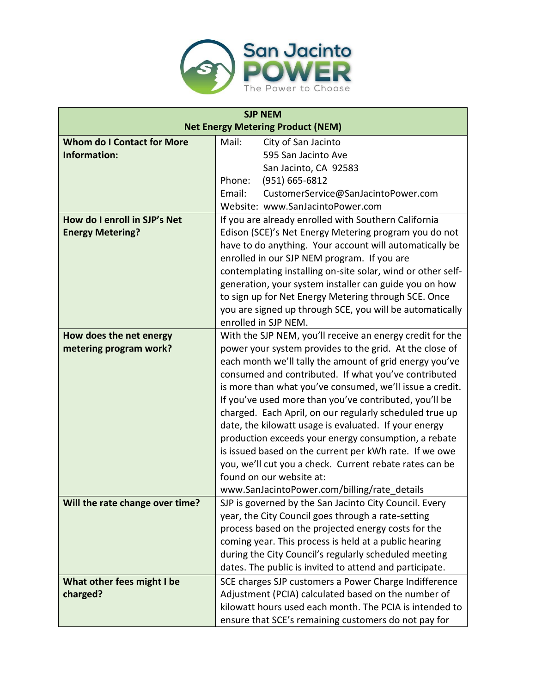

| <b>SJP NEM</b>                           |                                                             |
|------------------------------------------|-------------------------------------------------------------|
| <b>Net Energy Metering Product (NEM)</b> |                                                             |
| <b>Whom do I Contact for More</b>        | Mail:<br>City of San Jacinto                                |
| <b>Information:</b>                      | 595 San Jacinto Ave                                         |
|                                          | San Jacinto, CA 92583                                       |
|                                          | (951) 665-6812<br>Phone:                                    |
|                                          | Email:<br>CustomerService@SanJacintoPower.com               |
|                                          | Website: www.SanJacintoPower.com                            |
| How do I enroll in SJP's Net             | If you are already enrolled with Southern California        |
| <b>Energy Metering?</b>                  | Edison (SCE)'s Net Energy Metering program you do not       |
|                                          | have to do anything. Your account will automatically be     |
|                                          | enrolled in our SJP NEM program. If you are                 |
|                                          | contemplating installing on-site solar, wind or other self- |
|                                          | generation, your system installer can guide you on how      |
|                                          | to sign up for Net Energy Metering through SCE. Once        |
|                                          | you are signed up through SCE, you will be automatically    |
|                                          | enrolled in SJP NEM.                                        |
| How does the net energy                  | With the SJP NEM, you'll receive an energy credit for the   |
| metering program work?                   | power your system provides to the grid. At the close of     |
|                                          | each month we'll tally the amount of grid energy you've     |
|                                          | consumed and contributed. If what you've contributed        |
|                                          | is more than what you've consumed, we'll issue a credit.    |
|                                          | If you've used more than you've contributed, you'll be      |
|                                          | charged. Each April, on our regularly scheduled true up     |
|                                          | date, the kilowatt usage is evaluated. If your energy       |
|                                          | production exceeds your energy consumption, a rebate        |
|                                          | is issued based on the current per kWh rate. If we owe      |
|                                          | you, we'll cut you a check. Current rebate rates can be     |
|                                          | found on our website at:                                    |
|                                          | www.SanJacintoPower.com/billing/rate_details                |
| Will the rate change over time?          | SJP is governed by the San Jacinto City Council. Every      |
|                                          | year, the City Council goes through a rate-setting          |
|                                          | process based on the projected energy costs for the         |
|                                          | coming year. This process is held at a public hearing       |
|                                          | during the City Council's regularly scheduled meeting       |
|                                          | dates. The public is invited to attend and participate.     |
| What other fees might I be               | SCE charges SJP customers a Power Charge Indifference       |
| charged?                                 | Adjustment (PCIA) calculated based on the number of         |
|                                          | kilowatt hours used each month. The PCIA is intended to     |
|                                          | ensure that SCE's remaining customers do not pay for        |